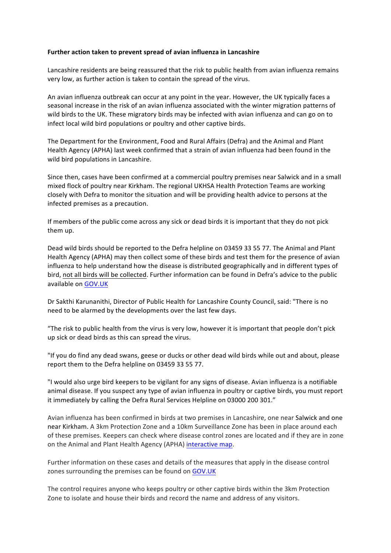## Further action taken to prevent spread of avian influenza in Lancashire

Lancashire residents are being reassured that the risk to public health from avian influenza remains very low, as further action is taken to contain the spread of the virus.

An avian influenza outbreak can occur at any point in the year. However, the UK typically faces a seasonal increase in the risk of an avian influenza associated with the winter migration patterns of wild birds to the UK. These migratory birds may be infected with avian influenza and can go on to infect local wild bird populations or poultry and other captive birds.

The Department for the Environment, Food and Rural Affairs (Defra) and the Animal and Plant Health Agency (APHA) last week confirmed that a strain of avian influenza had been found in the wild bird populations in Lancashire.

Since then, cases have been confirmed at a commercial poultry premises near Salwick and in a small mixed flock of poultry near Kirkham. The regional UKHSA Health Protection Teams are working closely with Defra to monitor the situation and will be providing health advice to persons at the infected premises as a precaution.

If members of the public come across any sick or dead birds it is important that they do not pick them up.

Dead wild birds should be reported to the Defra helpline on 03459 33 55 77. The Animal and Plant Health Agency (APHA) may then collect some of these birds and test them for the presence of avian influenza to help understand how the disease is distributed geographically and in different types of bird, not all birds will be collected. Further information can be found in Defra's advice to the public available on GOV.UK

Dr Sakthi Karunanithi, Director of Public Health for Lancashire County Council, said: "There is no need to be alarmed by the developments over the last few days.

"The risk to public health from the virus is very low, however it is important that people don't pick up sick or dead birds as this can spread the virus.

"If you do find any dead swans, geese or ducks or other dead wild birds while out and about, please report them to the Defra helpline on 03459 33 55 77.

"I would also urge bird keepers to be vigilant for any signs of disease. Avian influenza is a notifiable animal disease. If you suspect any type of avian influenza in poultry or captive birds, you must report it immediately by calling the Defra Rural Services Helpline on 03000 200 301."

Avian influenza has been confirmed in birds at two premises in Lancashire, one near Salwick and one near Kirkham. A 3km Protection Zone and a 10km Surveillance Zone has been in place around each of these premises. Keepers can check where disease control zones are located and if they are in zone on the Animal and Plant Health Agency (APHA) interactive map.

Further information on these cases and details of the measures that apply in the disease control zones surrounding the premises can be found on GOV.UK

The control requires anyone who keeps poultry or other captive birds within the 3km Protection Zone to isolate and house their birds and record the name and address of any visitors.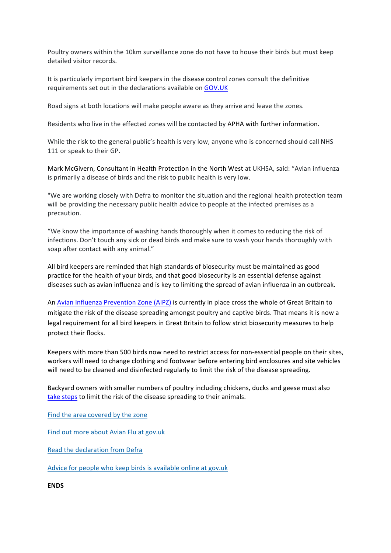Poultry owners within the 10km surveillance zone do not have to house their birds but must keep detailed visitor records.

It is particularly important bird keepers in the disease control zones consult the definitive requirements set out in the declarations available on GOV.UK

Road signs at both locations will make people aware as they arrive and leave the zones.

Residents who live in the effected zones will be contacted by APHA with further information.

While the risk to the general public's health is very low, anyone who is concerned should call NHS 111 or speak to their GP.

Mark McGivern, Consultant in Health Protection in the North West at UKHSA, said: "Avian influenza is primarily a disease of birds and the risk to public health is very low.

"We are working closely with Defra to monitor the situation and the regional health protection team will be providing the necessary public health advice to people at the infected premises as a precaution.

"We know the importance of washing hands thoroughly when it comes to reducing the risk of infections. Don't touch any sick or dead birds and make sure to wash your hands thoroughly with soap after contact with any animal."

All bird keepers are reminded that high standards of biosecurity must be maintained as good practice for the health of your birds, and that good biosecurity is an essential defense against diseases such as avian influenza and is key to limiting the spread of avian influenza in an outbreak.

An Avian Influenza Prevention Zone (AIPZ) is currently in place cross the whole of Great Britain to mitigate the risk of the disease spreading amongst poultry and captive birds. That means it is now a legal requirement for all bird keepers in Great Britain to follow strict biosecurity measures to help protect their flocks.

Keepers with more than 500 birds now need to restrict access for non-essential people on their sites, workers will need to change clothing and footwear before entering bird enclosures and site vehicles will need to be cleaned and disinfected regularly to limit the risk of the disease spreading.

Backyard owners with smaller numbers of poultry including chickens, ducks and geese must also take steps to limit the risk of the disease spreading to their animals.

Find the area covered by the zone

Find out more about Avian Flu at gov.uk

Read the declaration from Defra

Advice for people who keep birds is available online at gov.uk

**ENDS**